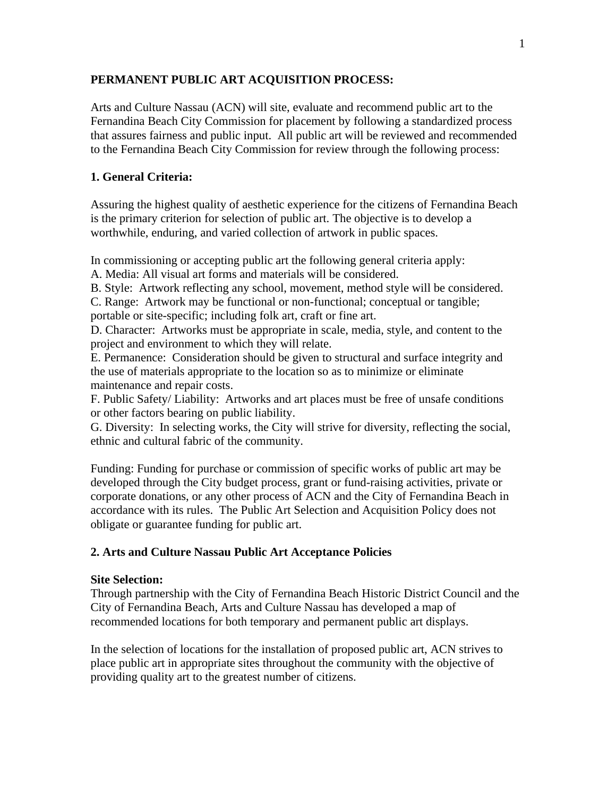### **PERMANENT PUBLIC ART ACQUISITION PROCESS:**

Arts and Culture Nassau (ACN) will site, evaluate and recommend public art to the Fernandina Beach City Commission for placement by following a standardized process that assures fairness and public input. All public art will be reviewed and recommended to the Fernandina Beach City Commission for review through the following process:

## **1. General Criteria:**

Assuring the highest quality of aesthetic experience for the citizens of Fernandina Beach is the primary criterion for selection of public art. The objective is to develop a worthwhile, enduring, and varied collection of artwork in public spaces.

In commissioning or accepting public art the following general criteria apply:

A. Media: All visual art forms and materials will be considered.

B. Style: Artwork reflecting any school, movement, method style will be considered.

C. Range: Artwork may be functional or non-functional; conceptual or tangible;

portable or site-specific; including folk art, craft or fine art.

D. Character: Artworks must be appropriate in scale, media, style, and content to the project and environment to which they will relate.

E. Permanence: Consideration should be given to structural and surface integrity and the use of materials appropriate to the location so as to minimize or eliminate maintenance and repair costs.

F. Public Safety/ Liability: Artworks and art places must be free of unsafe conditions or other factors bearing on public liability.

G. Diversity: In selecting works, the City will strive for diversity, reflecting the social, ethnic and cultural fabric of the community.

Funding: Funding for purchase or commission of specific works of public art may be developed through the City budget process, grant or fund-raising activities, private or corporate donations, or any other process of ACN and the City of Fernandina Beach in accordance with its rules. The Public Art Selection and Acquisition Policy does not obligate or guarantee funding for public art.

# **2. Arts and Culture Nassau Public Art Acceptance Policies**

### **Site Selection:**

Through partnership with the City of Fernandina Beach Historic District Council and the City of Fernandina Beach, Arts and Culture Nassau has developed a map of recommended locations for both temporary and permanent public art displays.

In the selection of locations for the installation of proposed public art, ACN strives to place public art in appropriate sites throughout the community with the objective of providing quality art to the greatest number of citizens.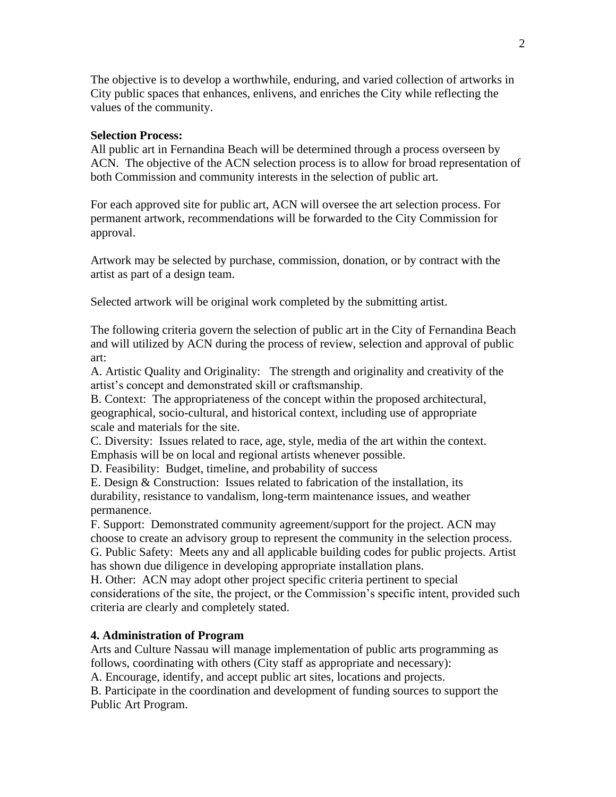The objective is to develop a worthwhile, enduring, and varied collection of artworks in City public spaces that enhances, enlivens, and enriches the City while reflecting the values of the community.

#### **Selection Process:**

All public art in Fernandina Beach will be determined through a process overseen by ACN. The objective of the ACN selection process is to allow for broad representation of both Commission and community interests in the selection of public art.

For each approved site for public art, ACN will oversee the art selection process. For permanent artwork, recommendations will be forwarded to the City Commission for approval.

Artwork may be selected by purchase, commission, donation, or by contract with the artist as part of a design team.

Selected artwork will be original work completed by the submitting artist.

The following criteria govern the selection of public art in the City of Fernandina Beach and will utilized by ACN during the process of review, selection and approval of public art:

A. Artistic Quality and Originality: The strength and originality and creativity of the artist's concept and demonstrated skill or craftsmanship.

B. Context: The appropriateness of the concept within the proposed architectural, geographical, socio-cultural, and historical context, including use of appropriate scale and materials for the site.

C. Diversity: Issues related to race, age, style, media of the art within the context. Emphasis will be on local and regional artists whenever possible.

D. Feasibility: Budget, timeline, and probability of success

E. Design & Construction: Issues related to fabrication of the installation, its durability, resistance to vandalism, long-term maintenance issues, and weather permanence.

F. Support: Demonstrated community agreement/support for the project. ACN may choose to create an advisory group to represent the community in the selection process. G. Public Safety: Meets any and all applicable building codes for public projects. Artist has shown due diligence in developing appropriate installation plans.

H. Other: ACN may adopt other project specific criteria pertinent to special considerations of the site, the project, or the Commission's specific intent, provided such criteria are clearly and completely stated.

#### **4. Administration of Program**

Arts and Culture Nassau will manage implementation of public arts programming as follows, coordinating with others (City staff as appropriate and necessary):

A. Encourage, identify, and accept public art sites, locations and projects.

B. Participate in the coordination and development of funding sources to support the Public Art Program.